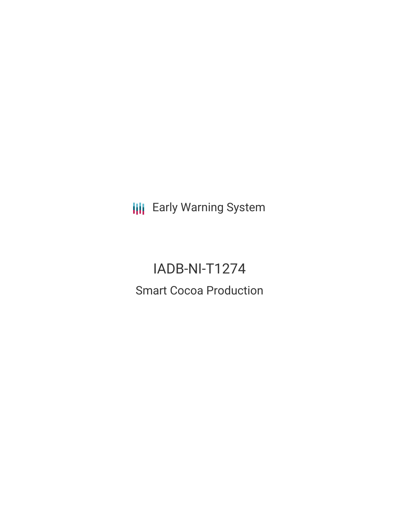**III** Early Warning System

# IADB-NI-T1274 Smart Cocoa Production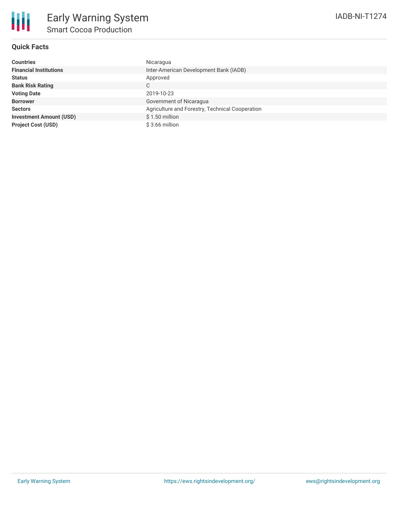

## **Quick Facts**

| Countries                      | Nicaragua                                       |
|--------------------------------|-------------------------------------------------|
| <b>Financial Institutions</b>  | Inter-American Development Bank (IADB)          |
| Status                         | Approved                                        |
| <b>Bank Risk Rating</b>        | C                                               |
| <b>Voting Date</b>             | 2019-10-23                                      |
| <b>Borrower</b>                | Government of Nicaragua                         |
| <b>Sectors</b>                 | Agriculture and Forestry, Technical Cooperation |
| <b>Investment Amount (USD)</b> | \$1.50 million                                  |
| <b>Project Cost (USD)</b>      | $$3.66$ million                                 |
|                                |                                                 |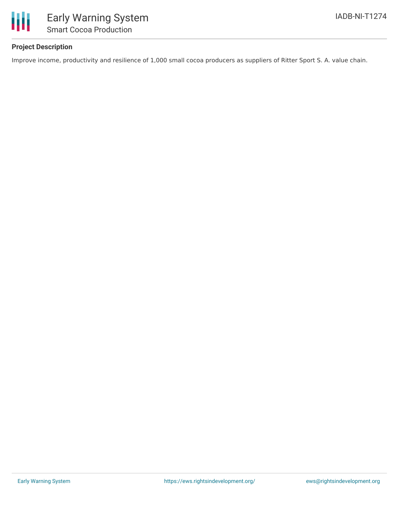

## **Project Description**

Improve income, productivity and resilience of 1,000 small cocoa producers as suppliers of Ritter Sport S. A. value chain.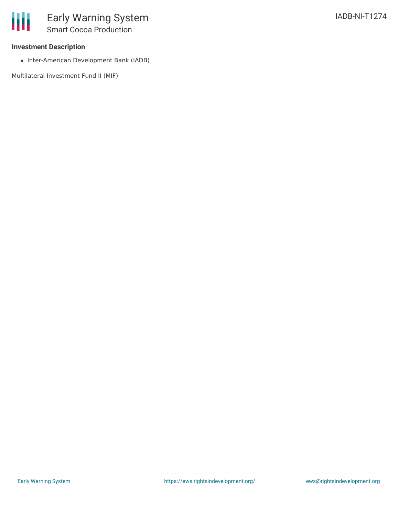#### **Investment Description**

• Inter-American Development Bank (IADB)

Multilateral Investment Fund II (MIF)